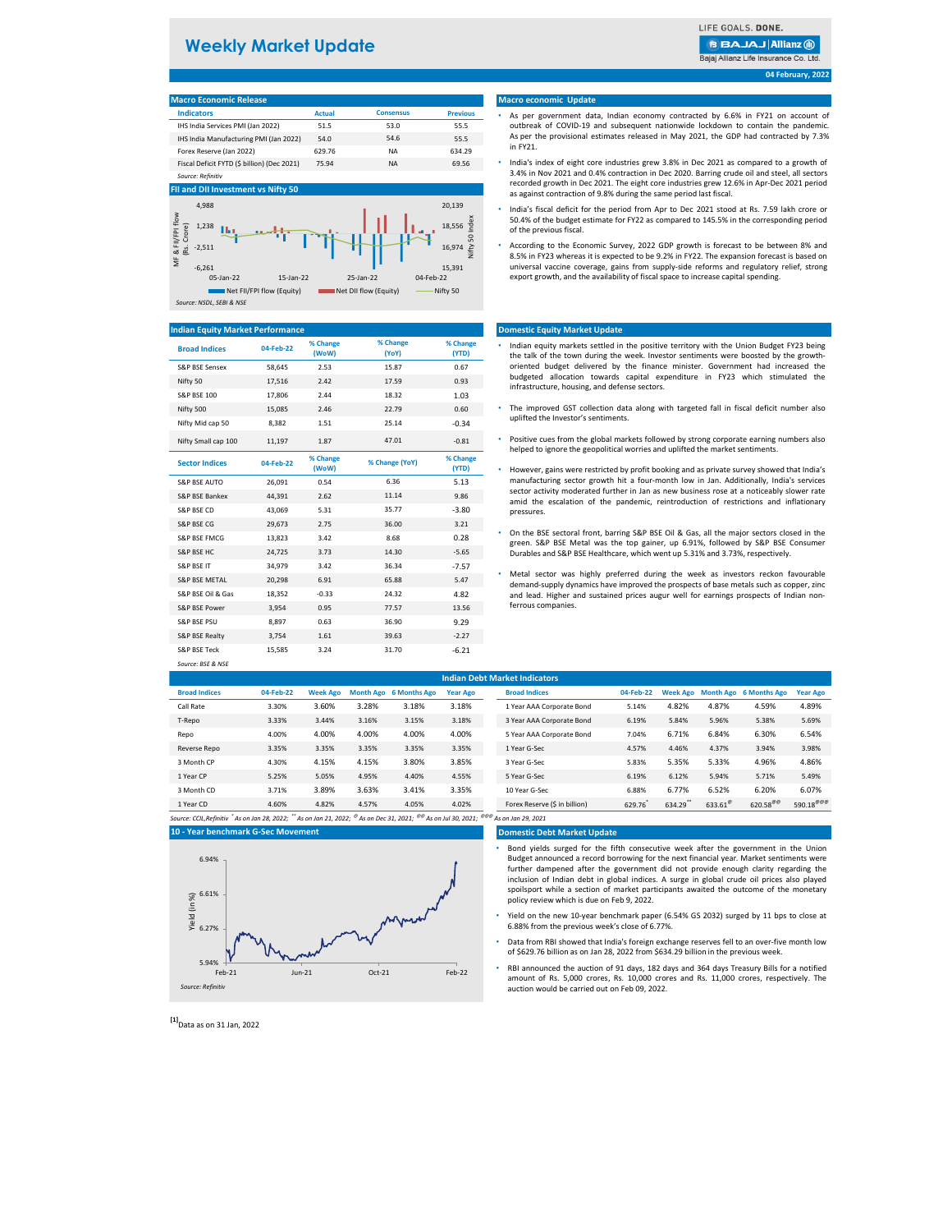*Source: BSE & NSE*

| <b>Macro Economic Release</b>               |               |                  |                 |
|---------------------------------------------|---------------|------------------|-----------------|
| <b>Indicators</b>                           | <b>Actual</b> | <b>Consensus</b> | <b>Previous</b> |
| IHS India Services PMI (Jan 2022)           | 51.5          | 53.0             | 55.5            |
| IHS India Manufacturing PMI (Jan 2022)      | 54.0          | 54.6             | 55.5            |
| Forex Reserve (Jan 2022)                    | 629.76        | <b>NA</b>        | 634.29          |
| Fiscal Deficit FYTD (\$ billion) (Dec 2021) | 75.94         | <b>NA</b>        | 69.56           |
| Source: Refinitiv                           |               |                  |                 |

| <b>Broad Indices</b>      | 04-Feb-22 | % Change<br>(WoW) | % Change<br>(YoY) | % Change<br>(YTD) |
|---------------------------|-----------|-------------------|-------------------|-------------------|
| <b>S&amp;P BSE Sensex</b> | 58,645    | 2.53              | 15.87             | 0.67              |
| Nifty 50                  | 17,516    | 2.42              | 17.59             | 0.93              |
| <b>S&amp;P BSE 100</b>    | 17,806    | 2.44              | 18.32             | 1.03              |
| Nifty 500                 | 15,085    | 2.46              | 22.79             | 0.60              |
| Nifty Mid cap 50          | 8,382     | 1.51              | 25.14             | $-0.34$           |
| Nifty Small cap 100       | 11,197    | 1.87              | 47.01             | $-0.81$           |
| <b>Sector Indices</b>     | 04-Feb-22 | % Change<br>(WoW) | % Change (YoY)    | % Change<br>(YTD) |
| <b>S&amp;P BSE AUTO</b>   | 26,091    | 0.54              | 6.36              | 5.13              |
| S&P BSE Bankex            | 44,391    | 2.62              | 11.14             | 9.86              |
| S&P BSE CD                | 43,069    | 5.31              | 35.77             | $-3.80$           |
| <b>S&amp;P BSE CG</b>     | 29,673    | 2.75              | 36.00             | 3.21              |
| <b>S&amp;P BSE FMCG</b>   | 13,823    | 3.42              | 8.68              | 0.28              |
| <b>S&amp;P BSE HC</b>     | 24,725    | 3.73              | 14.30             | $-5.65$           |
| <b>S&amp;P BSE IT</b>     | 34,979    | 3.42              | 36.34             | $-7.57$           |
| <b>S&amp;P BSE METAL</b>  | 20,298    | 6.91              | 65.88             | 5.47              |
| S&P BSE Oil & Gas         | 18,352    | $-0.33$           | 24.32             | 4.82              |
| S&P BSE Power             | 3,954     | 0.95              | 77.57             | 13.56             |
| <b>S&amp;P BSE PSU</b>    | 8,897     | 0.63              | 36.90             | 9.29              |
| S&P BSE Realty            | 3,754     | 1.61              | 39.63             | $-2.27$           |
| <b>S&amp;P BSE Teck</b>   | 15,585    | 3.24              | 31.70             | $-6.21$           |

| <b>Indian Debt Market Indicators</b> |           |                 |       |                        |                 |  |                               |           |        |                  |                                 |                       |
|--------------------------------------|-----------|-----------------|-------|------------------------|-----------------|--|-------------------------------|-----------|--------|------------------|---------------------------------|-----------------------|
| <b>Broad Indices</b>                 | 04-Feb-22 | <b>Week Ago</b> |       | Month Ago 6 Months Ago | <b>Year Ago</b> |  | <b>Broad Indices</b>          | 04-Feb-22 |        |                  | Week Ago Month Ago 6 Months Ago | <b>Year Ago</b>       |
| Call Rate                            | 3.30%     | 3.60%           | 3.28% | 3.18%                  | 3.18%           |  | 1 Year AAA Corporate Bond     | 5.14%     | 4.82%  | 4.87%            | 4.59%                           | 4.89%                 |
| T-Repo                               | 3.33%     | 3.44%           | 3.16% | 3.15%                  | 3.18%           |  | 3 Year AAA Corporate Bond     | 6.19%     | 5.84%  | 5.96%            | 5.38%                           | 5.69%                 |
| Repo                                 | 4.00%     | 4.00%           | 4.00% | 4.00%                  | 4.00%           |  | 5 Year AAA Corporate Bond     | 7.04%     | 6.71%  | 6.84%            | 6.30%                           | 6.54%                 |
| Reverse Repo                         | 3.35%     | 3.35%           | 3.35% | 3.35%                  | 3.35%           |  | 1 Year G-Sec                  | 4.57%     | 4.46%  | 4.37%            | 3.94%                           | 3.98%                 |
| 3 Month CP                           | 4.30%     | 4.15%           | 4.15% | 3.80%                  | 3.85%           |  | 3 Year G-Sec                  | 5.83%     | 5.35%  | 5.33%            | 4.96%                           | 4.86%                 |
| 1 Year CP                            | 5.25%     | 5.05%           | 4.95% | 4.40%                  | 4.55%           |  | 5 Year G-Sec                  | 6.19%     | 6.12%  | 5.94%            | 5.71%                           | 5.49%                 |
| 3 Month CD                           | 3.71%     | 3.89%           | 3.63% | 3.41%                  | 3.35%           |  | 10 Year G-Sec                 | 6.88%     | 6.77%  | 6.52%            | 6.20%                           | 6.07%                 |
| 1 Year CD                            | 4.60%     | 4.82%           | 4.57% | 4.05%                  | 4.02%           |  | Forex Reserve (\$ in billion) | 629.76    | 634.29 | $633.61^{\circ}$ | $620.58^{\text{@}}$             | 590.18 <sup>@@@</sup> |

*Source: CCIL,Refinitiv \* As on Jan 28, 2022; \*\* As on Jan 21, 2022; @ As on Dec 31, 2021; @@ As on Jul 30, 2021; @@@ As on Jan 29, 2021*

#### **Domestic Debt Market Update**

- Indian equity markets settled in the positive territory with the Union Budget FY23 being the talk of the town during the week. Investor sentiments were boosted by the growthoriented budget delivered by the finance minister. Government had increased the budgeted allocation towards capital expenditure in FY23 which stimulated the infrastructure, housing, and defense sectors.
- The improved GST collection data along with targeted fall in fiscal deficit number also uplifted the Investor's sentiments.
- Positive cues from the global markets followed by strong corporate earning numbers also helped to ignore the geopolitical worries and uplifted the market sentiments.
- However, gains were restricted by profit booking and as private survey showed that India's manufacturing sector growth hit a four-month low in Jan. Additionally, India's services sector activity moderated further in Jan as new business rose at a noticeably slower rate amid the escalation of the pandemic, reintroduction of restrictions and inflationary pressures.
- On the BSE sectoral front, barring S&P BSE Oil & Gas, all the major sectors closed in the green. S&P BSE Metal was the top gainer, up 6.91%, followed by S&P BSE Consumer Durables and S&P BSE Healthcare, which went up 5.31% and 3.73%, respectively.
- Metal sector was highly preferred during the week as investors reckon favourable demand-supply dynamics have improved the prospects of base metals such as copper, zinc and lead. Higher and sustained prices augur well for earnings prospects of Indian nonferrous companies.

**04 February, 2022**

## **10 - Year benchmark G-Sec Movement**

#### **Macro economic Update**

### **Domestic Equity Market Update**

### **Indian Equity Market Performance**

# **FII and DII Investment vs Nifty 50**

# **Weekly Market Update**

# **BBAJAJ Allianz (ii)** Bajaj Allianz Life Insurance Co. Ltd.



*Source: NSDL, SEBI & NSE*

- As per government data, Indian economy contracted by 6.6% in FY21 on account of outbreak of COVID-19 and subsequent nationwide lockdown to contain the pandemic. As per the provisional estimates released in May 2021, the GDP had contracted by 7.3% in FY21.
- India's index of eight core industries grew 3.8% in Dec 2021 as compared to a growth of 3.4% in Nov 2021 and 0.4% contraction in Dec 2020. Barring crude oil and steel, all sectors recorded growth in Dec 2021. The eight core industries grew 12.6% in Apr-Dec 2021 period as against contraction of 9.8% during the same period last fiscal.
- India's fiscal deficit for the period from Apr to Dec 2021 stood at Rs. 7.59 lakh crore or 50.4% of the budget estimate for FY22 as compared to 145.5% in the corresponding period of the previous fiscal.
- According to the Economic Survey, 2022 GDP growth is forecast to be between 8% and 8.5% in FY23 whereas it is expected to be 9.2% in FY22. The expansion forecast is based on universal vaccine coverage, gains from supply-side reforms and regulatory relief, strong export growth, and the availability of fiscal space to increase capital spending.

- Bond yields surged for the fifth consecutive week after the government in the Union Budget announced a record borrowing for the next financial year. Market sentiments were further dampened after the government did not provide enough clarity regarding the inclusion of Indian debt in global indices. A surge in global crude oil prices also played spoilsport while a section of market participants awaited the outcome of the monetary policy review which is due on Feb 9, 2022.
- Yield on the new 10-year benchmark paper (6.54% GS 2032) surged by 11 bps to close at 6.88% from the previous week's close of 6.77%.
- Data from RBI showed that India's foreign exchange reserves fell to an over-five month low of \$629.76 billion as on Jan 28, 2022 from \$634.29 billion in the previous week.
- RBI announced the auction of 91 days, 182 days and 364 days Treasury Bills for a notified amount of Rs. 5,000 crores, Rs. 10,000 crores and Rs. 11,000 crores, respectively. The auction would be carried out on Feb 09, 2022.